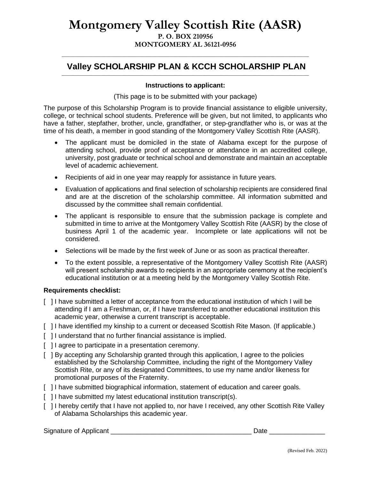# **Montgomery Valley Scottish Rite (AASR) P. O. BOX 210956 MONTGOMERY AL 36121-0956**

### \_\_\_\_\_\_\_\_\_\_\_\_\_\_\_\_\_\_\_\_\_\_\_\_\_\_\_\_\_\_\_\_\_\_\_\_\_\_\_\_\_\_\_\_\_\_\_\_\_\_\_\_\_\_\_\_\_\_\_\_\_\_\_\_\_\_\_\_\_\_\_\_\_\_\_\_\_\_\_\_\_\_\_\_\_\_\_\_\_\_\_\_\_\_\_\_\_\_\_\_\_\_ **Valley SCHOLARSHIP PLAN & KCCH SCHOLARSHIP PLAN** \_\_\_\_\_\_\_\_\_\_\_\_\_\_\_\_\_\_\_\_\_\_\_\_\_\_\_\_\_\_\_\_\_\_\_\_\_\_\_\_\_\_\_\_\_\_\_\_\_\_\_\_\_\_\_\_\_\_\_\_\_\_\_\_\_\_\_\_\_\_\_\_\_\_\_\_\_\_\_\_\_\_\_\_\_\_\_\_\_\_\_\_\_\_\_\_\_\_\_\_\_\_

### **Instructions to applicant:**

(This page is to be submitted with your package)

The purpose of this Scholarship Program is to provide financial assistance to eligible university, college, or technical school students. Preference will be given, but not limited, to applicants who have a father, stepfather, brother, uncle, grandfather, or step-grandfather who is, or was at the time of his death, a member in good standing of the Montgomery Valley Scottish Rite (AASR).

- The applicant must be domiciled in the state of Alabama except for the purpose of attending school, provide proof of acceptance or attendance in an accredited college, university, post graduate or technical school and demonstrate and maintain an acceptable level of academic achievement.
- Recipients of aid in one year may reapply for assistance in future years.
- Evaluation of applications and final selection of scholarship recipients are considered final and are at the discretion of the scholarship committee. All information submitted and discussed by the committee shall remain confidential.
- The applicant is responsible to ensure that the submission package is complete and submitted in time to arrive at the Montgomery Valley Scottish Rite (AASR) by the close of business April 1 of the academic year. Incomplete or late applications will not be considered.
- Selections will be made by the first week of June or as soon as practical thereafter.
- To the extent possible, a representative of the Montgomery Valley Scottish Rite (AASR) will present scholarship awards to recipients in an appropriate ceremony at the recipient's educational institution or at a meeting held by the Montgomery Valley Scottish Rite.

#### **Requirements checklist:**

- [ ] I have submitted a letter of acceptance from the educational institution of which I will be attending if I am a Freshman, or, if I have transferred to another educational institution this academic year, otherwise a current transcript is acceptable.
- [ ] I have identified my kinship to a current or deceased Scottish Rite Mason. (If applicable.)
- [ ] I understand that no further financial assistance is implied.
- [ ] I agree to participate in a presentation ceremony.
- [ ] By accepting any Scholarship granted through this application, I agree to the policies established by the Scholarship Committee, including the right of the Montgomery Valley Scottish Rite, or any of its designated Committees, to use my name and/or likeness for promotional purposes of the Fraternity.
- [ ] I have submitted biographical information, statement of education and career goals.
- [ ] I have submitted my latest educational institution transcript(s).
- [ ] I hereby certify that I have not applied to, nor have I received, any other Scottish Rite Valley of Alabama Scholarships this academic year.

Signature of Applicant \_\_\_\_\_\_\_\_\_\_\_\_\_\_\_\_\_\_\_\_\_\_\_\_\_\_\_\_\_\_\_\_\_\_\_\_\_\_ Date \_\_\_\_\_\_\_\_\_\_\_\_\_\_\_